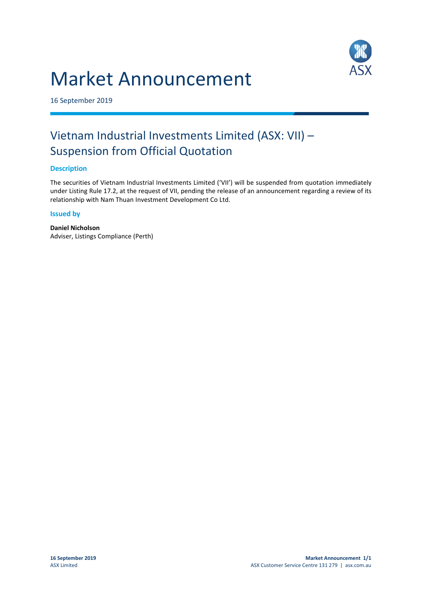# Market Announcement



16 September 2019

## Vietnam Industrial Investments Limited (ASX: VII) – Suspension from Official Quotation

#### **Description**

The securities of Vietnam Industrial Investments Limited ('VII') will be suspended from quotation immediately under Listing Rule 17.2, at the request of VII, pending the release of an announcement regarding a review of its relationship with Nam Thuan Investment Development Co Ltd.

#### **Issued by**

**Daniel Nicholson** Adviser, Listings Compliance (Perth)